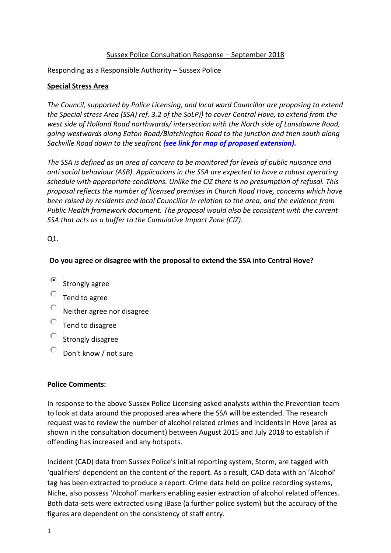## Sussex Police Consultation Response – September 2018

Responding as a Responsible Authority – Sussex Police

#### **Special Stress Area**

*The Council, supported by Police Licensing, and local ward Councillor are proposing to extend the Special stress Area (SSA) ref. 3.2 of the SoLP)) to cover Central Hove, to extend from the west side of Holland Road northwards/ intersection with the North side of Lansdowne Road, going westwards along Eaton Road/Blatchington Road to the junction and then south along Sackville Road down to the seafront [\(see link for map of proposed extension\).](https://present.brighton-hove.gov.uk/Published/C00000157/M00009212/AI00067042/$20180619162445_016488_0057663_ProposedexpansionofSpecialStressAreaJune2018.pdfA.ps.pdf)*

*The SSA is defined as an area of concern to be monitored for levels of public nuisance and anti social behaviour (ASB). Applications in the SSA are expected to have a robust operating schedule with appropriate conditions. Unlike the CIZ there is no presumption of refusal. This proposal reflects the number of licensed premises in Church Road Hove, concerns which have been raised by residents and local Councillor in relation to the area, and the evidence from Public Health framework document. The proposal would also be consistent with the current SSA that acts as a buffer to the Cumulative Impact Zone (CIZ).*

Q1.

# **Do you agree or disagree with the proposal to extend the SSA into Central Hove?**

- $\bullet$  Strongly agree
- $\overline{\phantom{a}}$  Tend to agree
- Neither agree nor disagree
- Tend to disagree
- $\overline{C}$  Strongly disagree
- Don't know / not sure

# **Police Comments:**

In response to the above Sussex Police Licensing asked analysts within the Prevention team to look at data around the proposed area where the SSA will be extended. The research request was to review the number of alcohol related crimes and incidents in Hove (area as shown in the consultation document) between August 2015 and July 2018 to establish if offending has increased and any hotspots.

Incident (CAD) data from Sussex Police's initial reporting system, Storm, are tagged with 'qualifiers' dependent on the content of the report. As a result, CAD data with an 'Alcohol' tag has been extracted to produce a report. Crime data held on police recording systems, Niche, also possess 'Alcohol' markers enabling easier extraction of alcohol related offences. Both data-sets were extracted using iBase (a further police system) but the accuracy of the figures are dependent on the consistency of staff entry.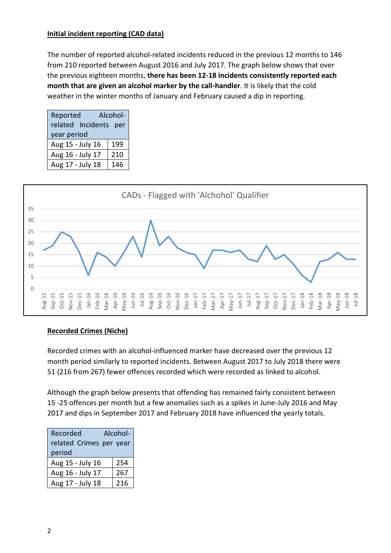# **Initial incident reporting (CAD data)**

The number of reported alcohol-related incidents reduced in the previous 12 months to 146 from 210 reported between August 2016 and July 2017. The graph below shows that over the previous eighteen months, **there has been 12-18 incidents consistently reported each month that are given an alcohol marker by the call-handler**. It is likely that the cold weather in the winter months of January and February caused a dip in reporting.

| Reported              | Alcohol- |
|-----------------------|----------|
| related Incidents per |          |
| year period           |          |
| Aug 15 - July 16      | 199      |
| Aug 16 - July 17      | 210      |
| Aug 17 - July 18      | 146      |



# **Recorded Crimes (Niche)**

Recorded crimes with an alcohol-influenced marker have decreased over the previous 12 month period similarly to reported incidents. Between August 2017 to July 2018 there were 51 (216 from 267) fewer offences recorded which were recorded as linked to alcohol.

Although the graph below presents that offending has remained fairly consistent between 15 -25 offences per month but a few anomalies such as a spikes in June-July 2016 and May 2017 and dips in September 2017 and February 2018 have influenced the yearly totals.

| Recorded                | Alcohol- |
|-------------------------|----------|
| related Crimes per year |          |
| period                  |          |
| Aug 15 - July 16        | 254      |
| Aug 16 - July 17        | 267      |
| Aug 17 - July 18        | 216      |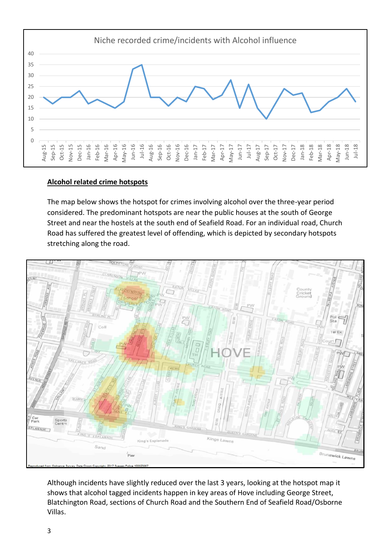

#### **Alcohol related crime hotspots**

The map below shows the hotspot for crimes involving alcohol over the three-year period considered. The predominant hotspots are near the public houses at the south of George Street and near the hostels at the south end of Seafield Road. For an individual road, Church Road has suffered the greatest level of offending, which is depicted by secondary hotspots stretching along the road.



Although incidents have slightly reduced over the last 3 years, looking at the hotspot map it shows that alcohol tagged incidents happen in key areas of Hove including George Street, Blatchington Road, sections of Church Road and the Southern End of Seafield Road/Osborne Villas.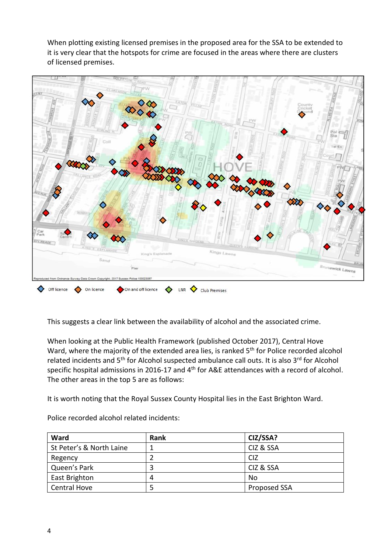When plotting existing licensed premises in the proposed area for the SSA to be extended to it is very clear that the hotspots for crime are focused in the areas where there are clusters of licensed premises.



This suggests a clear link between the availability of alcohol and the associated crime.

When looking at the Public Health Framework (published October 2017), Central Hove Ward, where the majority of the extended area lies, is ranked 5<sup>th</sup> for Police recorded alcohol related incidents and 5<sup>th</sup> for Alcohol suspected ambulance call outs. It is also 3<sup>rd</sup> for Alcohol specific hospital admissions in 2016-17 and 4<sup>th</sup> for A&E attendances with a record of alcohol. The other areas in the top 5 are as follows:

It is worth noting that the Royal Sussex County Hospital lies in the East Brighton Ward.

| Ward                     | <b>Rank</b> | CIZ/SSA?     |
|--------------------------|-------------|--------------|
| St Peter's & North Laine |             | CIZ & SSA    |
| Regency                  |             | <b>CIZ</b>   |
| Queen's Park             | 3           | CIZ & SSA    |
| East Brighton            |             | No           |
| <b>Central Hove</b>      | 5           | Proposed SSA |

Police recorded alcohol related incidents: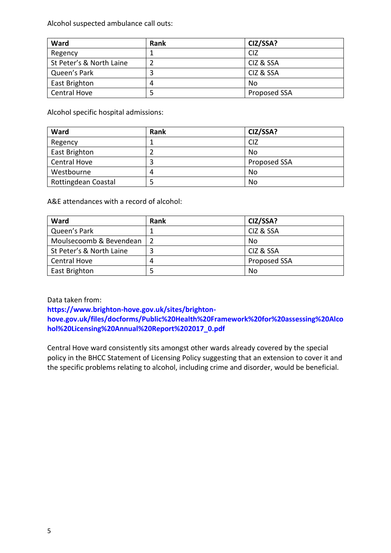Alcohol suspected ambulance call outs:

| Ward                     | <b>Rank</b> | CIZ/SSA?     |
|--------------------------|-------------|--------------|
| Regency                  |             | <b>CIZ</b>   |
| St Peter's & North Laine |             | CIZ & SSA    |
| Queen's Park             | 3           | CIZ & SSA    |
| East Brighton            | 4           | No           |
| <b>Central Hove</b>      |             | Proposed SSA |

Alcohol specific hospital admissions:

| Ward                | <b>Rank</b> | CIZ/SSA?     |
|---------------------|-------------|--------------|
| Regency             |             | <b>CIZ</b>   |
| East Brighton       |             | No           |
| <b>Central Hove</b> | 3           | Proposed SSA |
| Westbourne          | 4           | No           |
| Rottingdean Coastal | 5           | No           |

A&E attendances with a record of alcohol:

| Ward                     | <b>Rank</b> | CIZ/SSA?     |
|--------------------------|-------------|--------------|
| Queen's Park             |             | CIZ & SSA    |
| Moulsecoomb & Bevendean  |             | No           |
| St Peter's & North Laine | 3           | CIZ & SSA    |
| <b>Central Hove</b>      | 4           | Proposed SSA |
| East Brighton            | 5           | No           |

Data taken from:

**[https://www.brighton-hove.gov.uk/sites/brighton](https://www.brighton-hove.gov.uk/sites/brighton-hove.gov.uk/files/docforms/Public%20Health%20Framework%20for%20assessing%20Alcohol%20Licensing%20Annual%20Report%202017_0.pdf)[hove.gov.uk/files/docforms/Public%20Health%20Framework%20for%20assessing%20Alco](https://www.brighton-hove.gov.uk/sites/brighton-hove.gov.uk/files/docforms/Public%20Health%20Framework%20for%20assessing%20Alcohol%20Licensing%20Annual%20Report%202017_0.pdf) [hol%20Licensing%20Annual%20Report%202017\\_0.pdf](https://www.brighton-hove.gov.uk/sites/brighton-hove.gov.uk/files/docforms/Public%20Health%20Framework%20for%20assessing%20Alcohol%20Licensing%20Annual%20Report%202017_0.pdf)**

Central Hove ward consistently sits amongst other wards already covered by the special policy in the BHCC Statement of Licensing Policy suggesting that an extension to cover it and the specific problems relating to alcohol, including crime and disorder, would be beneficial.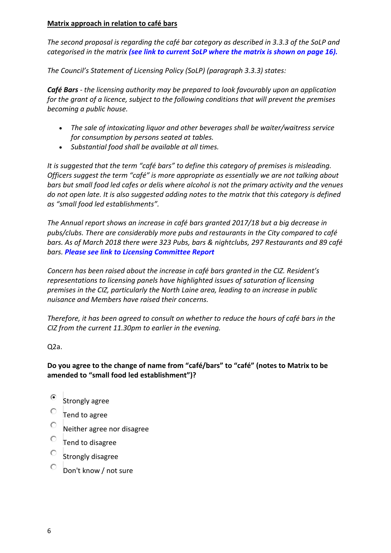# **Matrix approach in relation to café bars**

*The second proposal is regarding the café bar category as described in 3.3.3 of the SoLP and categorised in the matrix [\(see link to current SoLP where the matrix is shown on page 16\).](https://www.brighton-hove.gov.uk/sites/brighton-hove.gov.uk/files/Statement%20of%20Licensing%20Policy%202016%2001%2006%2016.pdf)*

*The Council's Statement of Licensing Policy (SoLP) (paragraph 3.3.3) states:*

*Café Bars - the licensing authority may be prepared to look favourably upon an application for the grant of a licence, subject to the following conditions that will prevent the premises becoming a public house.*

- *The sale of intoxicating liquor and other beverages shall be waiter/waitress service for consumption by persons seated at tables.*
- *Substantial food shall be available at all times.*

*It is suggested that the term "café bars" to define this category of premises is misleading. Officers suggest the term "café" is more appropriate as essentially we are not talking about bars but small food led cafes or delis where alcohol is not the primary activity and the venues do not open late. It is also suggested adding notes to the matrix that this category is defined as "small food led establishments".*

*The Annual report shows an increase in café bars granted 2017/18 but a big decrease in pubs/clubs. There are considerably more pubs and restaurants in the City compared to café bars. As of March 2018 there were 323 Pubs, bars & nightclubs, 297 Restaurants and 89 café bars. [Please see link to Licensing Committee Report](https://present.brighton-hove.gov.uk/Published/C00000157/M00006680/$$ADocPackPublic.pdf)*

*Concern has been raised about the increase in café bars granted in the CIZ. Resident's representations to licensing panels have highlighted issues of saturation of licensing premises in the CIZ, particularly the North Laine area, leading to an increase in public nuisance and Members have raised their concerns.*

*Therefore, it has been agreed to consult on whether to reduce the hours of café bars in the CIZ from the current 11.30pm to earlier in the evening.*

Q2a.

# **Do you agree to the change of name from "café/bars" to "café" (notes to Matrix to be amended to "small food led establishment")?**

- $\bullet$  Strongly agree
- $\circ$  Tend to agree
- Neither agree nor disagree
- $\overline{\phantom{a}}$  Tend to disagree
- Strongly disagree
- O Don't know / not sure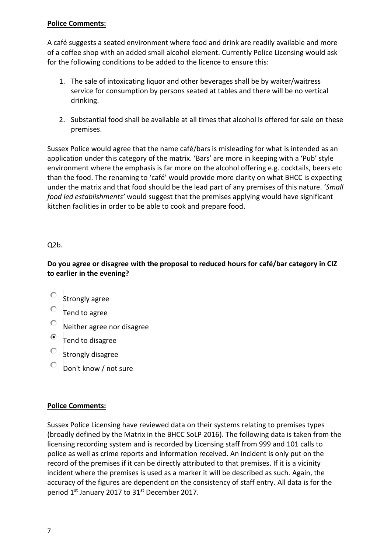# **Police Comments:**

A café suggests a seated environment where food and drink are readily available and more of a coffee shop with an added small alcohol element. Currently Police Licensing would ask for the following conditions to be added to the licence to ensure this:

- 1. The sale of intoxicating liquor and other beverages shall be by waiter/waitress service for consumption by persons seated at tables and there will be no vertical drinking.
- 2. Substantial food shall be available at all times that alcohol is offered for sale on these premises.

Sussex Police would agree that the name café/bars is misleading for what is intended as an application under this category of the matrix. 'Bars' are more in keeping with a 'Pub' style environment where the emphasis is far more on the alcohol offering e.g. cocktails, beers etc than the food. The renaming to 'café' would provide more clarity on what BHCC is expecting under the matrix and that food should be the lead part of any premises of this nature. '*Small food led establishments'* would suggest that the premises applying would have significant kitchen facilities in order to be able to cook and prepare food.

#### Q2b.

**Do you agree or disagree with the proposal to reduced hours for café/bar category in CIZ to earlier in the evening?**

- $\frac{1}{\sqrt{2}}$  Strongly agree
- Tend to agree
- Neither agree nor disagree
- Tend to disagree
- $\circ$  Strongly disagree
- Don't know / not sure

#### **Police Comments:**

Sussex Police Licensing have reviewed data on their systems relating to premises types (broadly defined by the Matrix in the BHCC SoLP 2016). The following data is taken from the licensing recording system and is recorded by Licensing staff from 999 and 101 calls to police as well as crime reports and information received. An incident is only put on the record of the premises if it can be directly attributed to that premises. If it is a vicinity incident where the premises is used as a marker it will be described as such. Again, the accuracy of the figures are dependent on the consistency of staff entry. All data is for the period 1<sup>st</sup> January 2017 to 31<sup>st</sup> December 2017.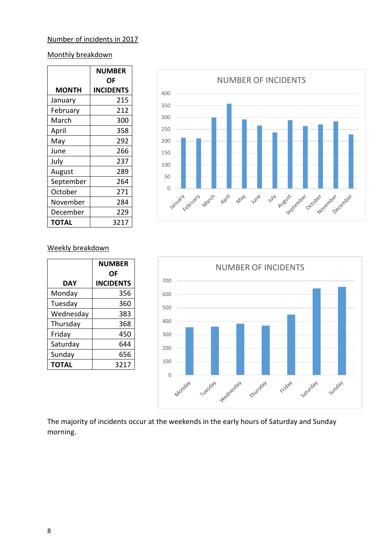#### Number of incidents in 2017

# Monthly breakdown

|           | <b>NUMBER</b>    |
|-----------|------------------|
|           | ΟF               |
| MONTH     | <b>INCIDENTS</b> |
| January   | 215              |
| February  | 212              |
| March     | 300              |
| April     | 358              |
| May       | 292              |
| June      | 266              |
| July      | 237              |
| August    | 289              |
| September | 264              |
| October   | 271              |
| November  | 284              |
| December  | 229              |
| ΤΟΤΑL     | 3217             |



#### Weekly breakdown

|              | <b>NUMBER</b><br>ΟF |
|--------------|---------------------|
| DAY          | <b>INCIDENTS</b>    |
| Monday       | 356                 |
| Tuesday      | 360                 |
| Wednesday    | 383                 |
| Thursday     | 368                 |
| Friday       | 450                 |
| Saturday     | 644                 |
| Sunday       | 656                 |
| <b>TOTAL</b> | 3217                |



The majority of incidents occur at the weekends in the early hours of Saturday and Sunday morning.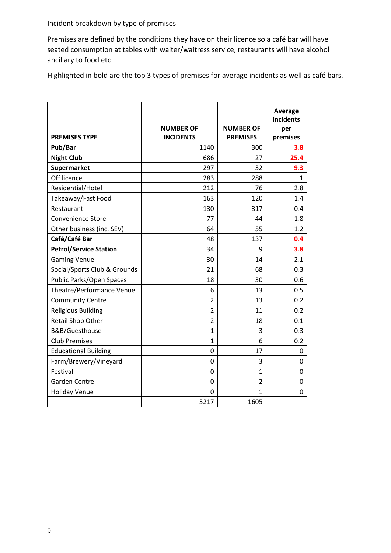# Incident breakdown by type of premises

Premises are defined by the conditions they have on their licence so a café bar will have seated consumption at tables with waiter/waitress service, restaurants will have alcohol ancillary to food etc

Highlighted in bold are the top 3 types of premises for average incidents as well as café bars.

| <b>PREMISES TYPE</b>          | <b>NUMBER OF</b><br><b>INCIDENTS</b> | <b>NUMBER OF</b><br><b>PREMISES</b> | <b>Average</b><br>incidents<br>per<br>premises |
|-------------------------------|--------------------------------------|-------------------------------------|------------------------------------------------|
| Pub/Bar                       | 1140                                 | 300                                 | 3.8                                            |
| <b>Night Club</b>             | 686                                  | 27                                  | 25.4                                           |
| Supermarket                   | 297                                  | 32                                  | 9.3                                            |
| Off licence                   | 283                                  | 288                                 | 1                                              |
| Residential/Hotel             | 212                                  | 76                                  | 2.8                                            |
| Takeaway/Fast Food            | 163                                  | 120                                 | 1.4                                            |
| Restaurant                    | 130                                  | 317                                 | 0.4                                            |
| <b>Convenience Store</b>      | 77                                   | 44                                  | 1.8                                            |
| Other business (inc. SEV)     | 64                                   | 55                                  | 1.2                                            |
| Café/Café Bar                 | 48                                   | 137                                 | 0.4                                            |
| <b>Petrol/Service Station</b> | 34                                   | 9                                   | 3.8                                            |
| <b>Gaming Venue</b>           | 30                                   | 14                                  | 2.1                                            |
| Social/Sports Club & Grounds  | 21                                   | 68                                  | 0.3                                            |
| Public Parks/Open Spaces      | 18                                   | 30                                  | 0.6                                            |
| Theatre/Performance Venue     | 6                                    | 13                                  | 0.5                                            |
| <b>Community Centre</b>       | $\overline{2}$                       | 13                                  | 0.2                                            |
| <b>Religious Building</b>     | $\overline{2}$                       | 11                                  | 0.2                                            |
| Retail Shop Other             | $\overline{2}$                       | 18                                  | 0.1                                            |
| B&B/Guesthouse                | $\mathbf{1}$                         | 3                                   | 0.3                                            |
| <b>Club Premises</b>          | $\mathbf{1}$                         | 6                                   | 0.2                                            |
| <b>Educational Building</b>   | 0                                    | 17                                  | 0                                              |
| Farm/Brewery/Vineyard         | 0                                    | 3                                   | 0                                              |
| Festival                      | $\Omega$                             | $\overline{1}$                      | $\Omega$                                       |
| <b>Garden Centre</b>          | 0                                    | $\overline{2}$                      | 0                                              |
| <b>Holiday Venue</b>          | 0                                    | 1                                   | 0                                              |
|                               | 3217                                 | 1605                                |                                                |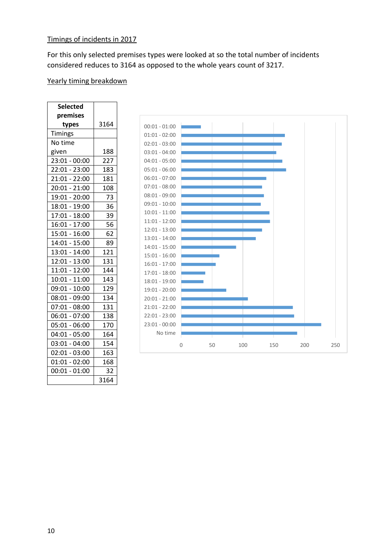For this only selected premises types were looked at so the total number of incidents considered reduces to 3164 as opposed to the whole years count of 3217.

# Yearly timing breakdown

| <b>Selected</b> |      |
|-----------------|------|
| premises        |      |
| types           | 3164 |
| Timings         |      |
| No time         |      |
| given           | 188  |
| $23:01 - 00:00$ | 227  |
| 22:01 - 23:00   | 183  |
| $21:01 - 22:00$ | 181  |
| $20:01 - 21:00$ | 108  |
| 19:01 - 20:00   | 73   |
| 18:01 - 19:00   | 36   |
| 17:01 - 18:00   | 39   |
| $16:01 - 17:00$ | 56   |
| 15:01 - 16:00   | 62   |
| $14:01 - 15:00$ | 89   |
| 13:01 - 14:00   | 121  |
| 12:01 - 13:00   | 131  |
| $11:01 - 12:00$ | 144  |
| 10:01 - 11:00   | 143  |
| $09:01 - 10:00$ | 129  |
| 08:01 - 09:00   | 134  |
| $07:01 - 08:00$ | 131  |
| $06:01 - 07:00$ | 138  |
| 05:01 - 06:00   | 170  |
| $04:01 - 05:00$ | 164  |
| 03:01 - 04:00   | 154  |
| $02:01 - 03:00$ | 163  |
| $01:01 - 02:00$ | 168  |
| $00:01 - 01:00$ | 32   |
|                 | 3164 |

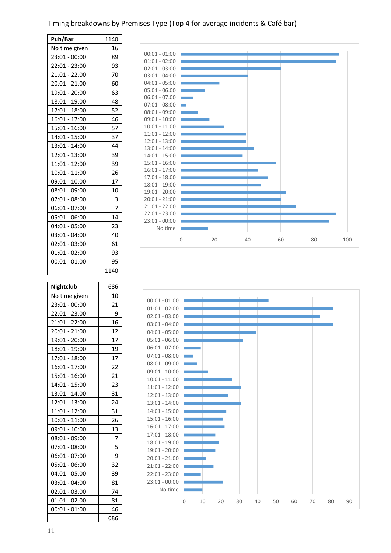# Timing breakdowns by Premises Type (Top 4 for average incidents & Café bar)

| Pub/Bar         | 1140 |
|-----------------|------|
| No time given   | 16   |
| 23:01 - 00:00   | 89   |
| 22:01 - 23:00   | 93   |
| 21:01 - 22:00   | 70   |
| 20:01 - 21:00   | 60   |
| 19:01 - 20:00   | 63   |
| 18:01 - 19:00   | 48   |
| 17:01 - 18:00   | 52   |
| 16:01 - 17:00   | 46   |
| 15:01 - 16:00   | 57   |
| 14:01 - 15:00   | 37   |
| 13:01 - 14:00   | 44   |
| 12:01 - 13:00   | 39   |
| 11:01 - 12:00   | 39   |
| 10:01 - 11:00   | 26   |
| 09:01 - 10:00   | 17   |
| 08:01 - 09:00   | 10   |
| 07:01 - 08:00   | 3    |
| 06:01 - 07:00   | 7    |
| 05:01 - 06:00   | 14   |
| 04:01 - 05:00   | 23   |
| 03:01 - 04:00   | 40   |
| 02:01 - 03:00   | 61   |
| $01:01 - 02:00$ | 93   |
| 00:01 - 01:00   | 95   |
|                 | 1140 |
|                 |      |

| Nightclub       | 686 |
|-----------------|-----|
| No time given   | 10  |
| 23:01 - 00:00   | 21  |
| 22:01 - 23:00   | 9   |
| 21:01 - 22:00   | 16  |
| $20:01 - 21:00$ | 12  |
| 19:01 - 20:00   | 17  |
| 18:01 - 19:00   | 19  |
| 17:01 - 18:00   | 17  |
| 16:01 - 17:00   | 22  |
| 15:01 - 16:00   | 21  |
| 14:01 - 15:00   | 23  |
| 13:01 - 14:00   | 31  |
| 12:01 - 13:00   | 24  |
| 11:01 - 12:00   | 31  |
| 10:01 - 11:00   | 26  |
| 09:01 - 10:00   | 13  |
| 08:01 - 09:00   | 7   |
| 07:01 - 08:00   | 5   |
| 06:01 - 07:00   | 9   |
| 05:01 - 06:00   | 32  |
| 04:01 - 05:00   | 39  |
| 03:01 - 04:00   | 81  |
| 02:01 - 03:00   | 74  |
| 01:01 - 02:00   | 81  |
| $00:01 - 01:00$ | 46  |
|                 | 686 |



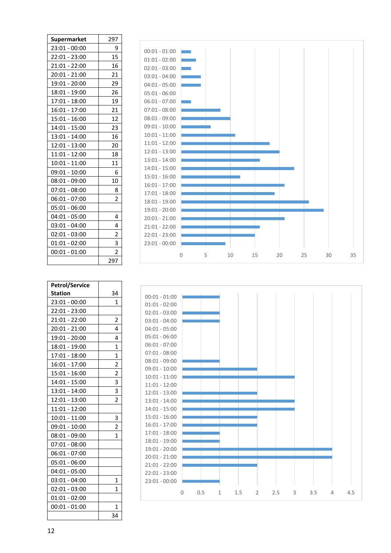| Supermarket     | 297            |  |  |  |
|-----------------|----------------|--|--|--|
| 23:01 - 00:00   | 9              |  |  |  |
| 22:01 - 23:00   | 15             |  |  |  |
| 21:01 - 22:00   | 16             |  |  |  |
| 20:01 - 21:00   | 21             |  |  |  |
| 19:01 - 20:00   | 29             |  |  |  |
| 18:01 - 19:00   | 26             |  |  |  |
| 17:01 - 18:00   | 19             |  |  |  |
| 16:01 - 17:00   | 21             |  |  |  |
| 15:01 - 16:00   | 12             |  |  |  |
| 14:01 - 15:00   | 23             |  |  |  |
| 13:01 - 14:00   | 16             |  |  |  |
| 12:01 - 13:00   | 20             |  |  |  |
| 11:01 - 12:00   | 18             |  |  |  |
| $10:01 - 11:00$ | 11             |  |  |  |
| 09:01 - 10:00   | 6              |  |  |  |
| 08:01 - 09:00   | 10             |  |  |  |
| 07:01 - 08:00   | 8              |  |  |  |
| 06:01 - 07:00   | 2              |  |  |  |
| 05:01 - 06:00   |                |  |  |  |
| 04:01 - 05:00   | 4              |  |  |  |
| 03:01 - 04:00   | 4              |  |  |  |
| 02:01 - 03:00   | 2              |  |  |  |
| 01:01 - 02:00   | 3              |  |  |  |
| $00:01 - 01:00$ | $\overline{2}$ |  |  |  |
|                 | 297            |  |  |  |

| <b>Petrol/Service</b> |                         |
|-----------------------|-------------------------|
| Station               | 34                      |
| 23:01 - 00:00         | 1                       |
| 22:01 - 23:00         |                         |
| 21:01 - 22:00         | $\overline{\mathbf{c}}$ |
| 20:01 - 21:00         | 4                       |
| 19:01 - 20:00         | 4                       |
| 18:01 - 19:00         | 1                       |
| 17:01 - 18:00         | 1                       |
| 16:01 - 17:00         | $\overline{c}$          |
| 15:01 - 16:00         | $\overline{2}$          |
| 14:01 - 15:00         | 3                       |
| 13:01 - 14:00         | 3                       |
| 12:01 - 13:00         | $\overline{c}$          |
| 11:01 - 12:00         |                         |
| 10:01 - 11:00         | 3                       |
| 09:01 - 10:00         | 2                       |
| 08:01 - 09:00         | 1                       |
| 07:01 - 08:00         |                         |
| 06:01 - 07:00         |                         |
| 05:01 - 06:00         |                         |
| 04:01 - 05:00         |                         |
| 03:01 - 04:00         | $\overline{1}$          |
| 02:01 - 03:00         | 1                       |
| $01:01 - 02:00$       |                         |
| $00:01 - 01:00$       | 1                       |
|                       | 34                      |



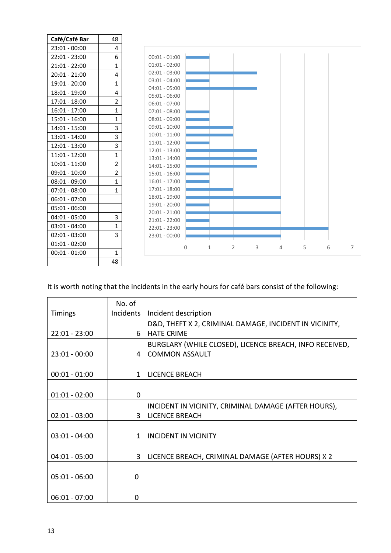| Café/Café Bar   | 48             |                                    |             |              |                |   |   |   |   |   |
|-----------------|----------------|------------------------------------|-------------|--------------|----------------|---|---|---|---|---|
| $23:01 - 00:00$ | 4              |                                    |             |              |                |   |   |   |   |   |
| $22:01 - 23:00$ | 6              | $00:01 - 01:00$                    |             |              |                |   |   |   |   |   |
| $21:01 - 22:00$ | 1              | $01:01 - 02:00$                    |             |              |                |   |   |   |   |   |
| $20:01 - 21:00$ | 4              | $02:01 - 03:00$                    |             |              |                |   |   |   |   |   |
| 19:01 - 20:00   | 1              | $03:01 - 04:00$                    |             |              |                |   |   |   |   |   |
| $18:01 - 19:00$ | 4              | $04:01 - 05:00$<br>$05:01 - 06:00$ |             |              |                |   |   |   |   |   |
| $17:01 - 18:00$ | $\overline{2}$ | $06:01 - 07:00$                    |             |              |                |   |   |   |   |   |
| $16:01 - 17:00$ | $\mathbf 1$    | $07:01 - 08:00$                    |             |              |                |   |   |   |   |   |
| $15:01 - 16:00$ | 1              | $08:01 - 09:00$                    |             |              |                |   |   |   |   |   |
| $14:01 - 15:00$ | 3              | $09:01 - 10:00$                    |             |              |                |   |   |   |   |   |
| 13:01 - 14:00   | 3              | $10:01 - 11:00$                    |             |              |                |   |   |   |   |   |
| $12:01 - 13:00$ | 3              | $11:01 - 12:00$                    |             |              |                |   |   |   |   |   |
| $11:01 - 12:00$ | $\mathbf{1}$   | $12:01 - 13:00$                    |             |              |                |   |   |   |   |   |
| $10:01 - 11:00$ | $\overline{2}$ | $13:01 - 14:00$                    |             |              |                |   |   |   |   |   |
| $09:01 - 10:00$ | $\overline{2}$ | $14:01 - 15:00$<br>$15:01 - 16:00$ |             |              |                |   |   |   |   |   |
| $08:01 - 09:00$ | 1              | $16:01 - 17:00$                    |             |              |                |   |   |   |   |   |
| $07:01 - 08:00$ | 1              | $17:01 - 18:00$                    |             |              |                |   |   |   |   |   |
| $06:01 - 07:00$ |                | $18:01 - 19:00$                    |             |              |                |   |   |   |   |   |
| $05:01 - 06:00$ |                | 19:01 - 20:00                      |             |              |                |   |   |   |   |   |
| $04:01 - 05:00$ | 3              | $20:01 - 21:00$                    |             |              |                |   |   |   |   |   |
| $03:01 - 04:00$ | $\mathbf 1$    | $21:01 - 22:00$                    |             |              |                |   |   |   |   |   |
| $02:01 - 03:00$ | 3              | $22:01 - 23:00$                    |             |              |                |   |   |   |   |   |
|                 |                | $23:01 - 00:00$                    |             |              |                |   |   |   |   |   |
| $01:01 - 02:00$ |                |                                    | $\mathbf 0$ | $\mathbf{1}$ | $\overline{2}$ | 3 | 4 | 5 | 6 | 7 |
| $00:01 - 01:00$ | 1              |                                    |             |              |                |   |   |   |   |   |
|                 | 48             |                                    |             |              |                |   |   |   |   |   |

# It is worth noting that the incidents in the early hours for café bars consist of the following:

|                 | No. of       |                                                         |
|-----------------|--------------|---------------------------------------------------------|
| <b>Timings</b>  | Incidents    | Incident description                                    |
|                 |              | D&D, THEFT X 2, CRIMINAL DAMAGE, INCIDENT IN VICINITY,  |
| $22:01 - 23:00$ | 6            | <b>HATE CRIME</b>                                       |
|                 |              | BURGLARY (WHILE CLOSED), LICENCE BREACH, INFO RECEIVED, |
| $23:01 - 00:00$ | 4            | <b>COMMON ASSAULT</b>                                   |
|                 |              |                                                         |
| $00:01 - 01:00$ | $\mathbf{1}$ | <b>LICENCE BREACH</b>                                   |
|                 |              |                                                         |
| $01:01 - 02:00$ | 0            |                                                         |
|                 |              | INCIDENT IN VICINITY, CRIMINAL DAMAGE (AFTER HOURS),    |
| $02:01 - 03:00$ | 3            | <b>LICENCE BREACH</b>                                   |
|                 |              |                                                         |
| $03:01 - 04:00$ | 1            | <b>INCIDENT IN VICINITY</b>                             |
|                 |              |                                                         |
| $04:01 - 05:00$ | 3            | LICENCE BREACH, CRIMINAL DAMAGE (AFTER HOURS) X 2       |
|                 |              |                                                         |
| $05:01 - 06:00$ | 0            |                                                         |
|                 |              |                                                         |
| $06:01 - 07:00$ | O            |                                                         |